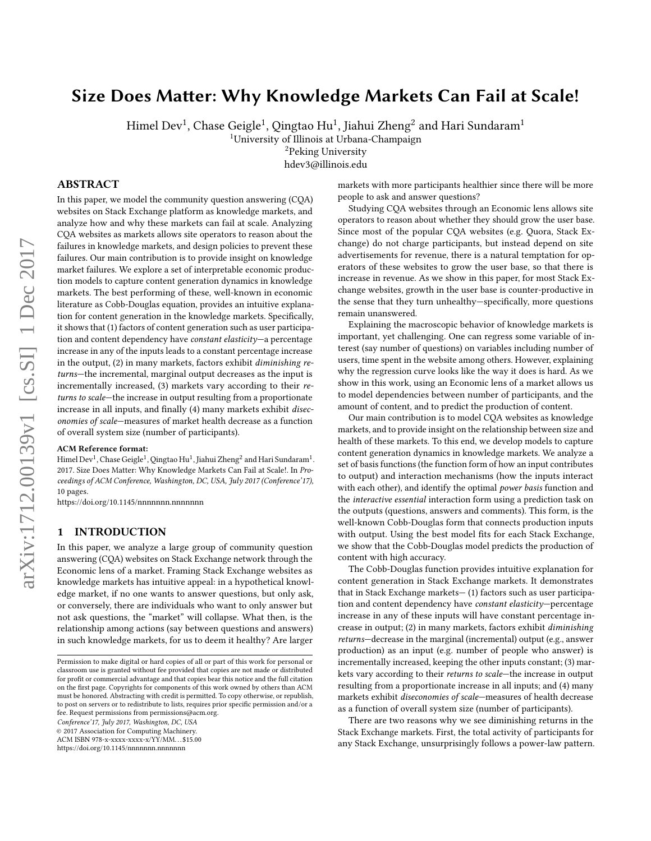# Size Does Matter: Why Knowledge Markets Can Fail at Scale!

Himel Dev $^1$ , Chase Geigle $^1$ , Qingtao Hu $^1$ , Jiahui Zheng $^2$  and Hari Sundaram $^1$ 

<sup>1</sup>University of Illinois at Urbana-Champaign

<sup>2</sup>Peking University

hdev3@illinois.edu

# ABSTRACT

In this paper, we model the community question answering (CQA) websites on Stack Exchange platform as knowledge markets, and analyze how and why these markets can fail at scale. Analyzing CQA websites as markets allows site operators to reason about the failures in knowledge markets, and design policies to prevent these failures. Our main contribution is to provide insight on knowledge market failures. We explore a set of interpretable economic production models to capture content generation dynamics in knowledge markets. The best performing of these, well-known in economic literature as Cobb-Douglas equation, provides an intuitive explanation for content generation in the knowledge markets. Specifically, it shows that (1) factors of content generation such as user participation and content dependency have *constant elasticity*—a percentage increase in any of the inputs leads to a constant percentage increase in the output, (2) in many markets, factors exhibit diminishing returns—the incremental, marginal output decreases as the input is incrementally increased, (3) markets vary according to their returns to scale—the increase in output resulting from a proportionate increase in all inputs, and finally (4) many markets exhibit diseconomies of scale—measures of market health decrease as a function of overall system size (number of participants).

### ACM Reference format:

Himel Dev<sup>1</sup>, Chase Geigle<sup>1</sup>, Qingtao Hu<sup>1</sup>, Jiahui Zheng<sup>2</sup> and Hari Sundaram<sup>1</sup>. 2017. Size Does Matter: Why Knowledge Markets Can Fail at Scale!. In Proceedings of ACM Conference, Washington, DC, USA, July 2017 (Conference'17), [10](#page-9-0) pages.

<https://doi.org/10.1145/nnnnnnn.nnnnnnn>

# 1 INTRODUCTION

In this paper, we analyze a large group of community question answering (CQA) websites on Stack Exchange network through the Economic lens of a market. Framing Stack Exchange websites as knowledge markets has intuitive appeal: in a hypothetical knowledge market, if no one wants to answer questions, but only ask, or conversely, there are individuals who want to only answer but not ask questions, the "market" will collapse. What then, is the relationship among actions (say between questions and answers) in such knowledge markets, for us to deem it healthy? Are larger

Conference'17, July 2017, Washington, DC, USA

© 2017 Association for Computing Machinery.

ACM ISBN 978-x-xxxx-xxxx-x/YY/MM. . . \$15.00

<https://doi.org/10.1145/nnnnnnn.nnnnnnn>

markets with more participants healthier since there will be more people to ask and answer questions?

Studying CQA websites through an Economic lens allows site operators to reason about whether they should grow the user base. Since most of the popular CQA websites (e.g. Quora, Stack Exchange) do not charge participants, but instead depend on site advertisements for revenue, there is a natural temptation for operators of these websites to grow the user base, so that there is increase in revenue. As we show in this paper, for most Stack Exchange websites, growth in the user base is counter-productive in the sense that they turn unhealthy—specifically, more questions remain unanswered.

Explaining the macroscopic behavior of knowledge markets is important, yet challenging. One can regress some variable of interest (say number of questions) on variables including number of users, time spent in the website among others. However, explaining why the regression curve looks like the way it does is hard. As we show in this work, using an Economic lens of a market allows us to model dependencies between number of participants, and the amount of content, and to predict the production of content.

Our main contribution is to model CQA websites as knowledge markets, and to provide insight on the relationship between size and health of these markets. To this end, we develop models to capture content generation dynamics in knowledge markets. We analyze a set of basis functions (the function form of how an input contributes to output) and interaction mechanisms (how the inputs interact with each other), and identify the optimal *power basis* function and the interactive essential interaction form using a prediction task on the outputs (questions, answers and comments). This form, is the well-known Cobb-Douglas form that connects production inputs with output. Using the best model fits for each Stack Exchange, we show that the Cobb-Douglas model predicts the production of content with high accuracy.

The Cobb-Douglas function provides intuitive explanation for content generation in Stack Exchange markets. It demonstrates that in Stack Exchange markets— (1) factors such as user participation and content dependency have constant elasticity—percentage increase in any of these inputs will have constant percentage increase in output; (2) in many markets, factors exhibit diminishing returns—decrease in the marginal (incremental) output (e.g., answer production) as an input (e.g. number of people who answer) is incrementally increased, keeping the other inputs constant; (3) markets vary according to their returns to scale—the increase in output resulting from a proportionate increase in all inputs; and (4) many markets exhibit diseconomies of scale—measures of health decrease as a function of overall system size (number of participants).

There are two reasons why we see diminishing returns in the Stack Exchange markets. First, the total activity of participants for any Stack Exchange, unsurprisingly follows a power-law pattern.

Permission to make digital or hard copies of all or part of this work for personal or classroom use is granted without fee provided that copies are not made or distributed for profit or commercial advantage and that copies bear this notice and the full citation on the first page. Copyrights for components of this work owned by others than ACM must be honored. Abstracting with credit is permitted. To copy otherwise, or republish, to post on servers or to redistribute to lists, requires prior specific permission and/or a fee. Request permissions from permissions@acm.org.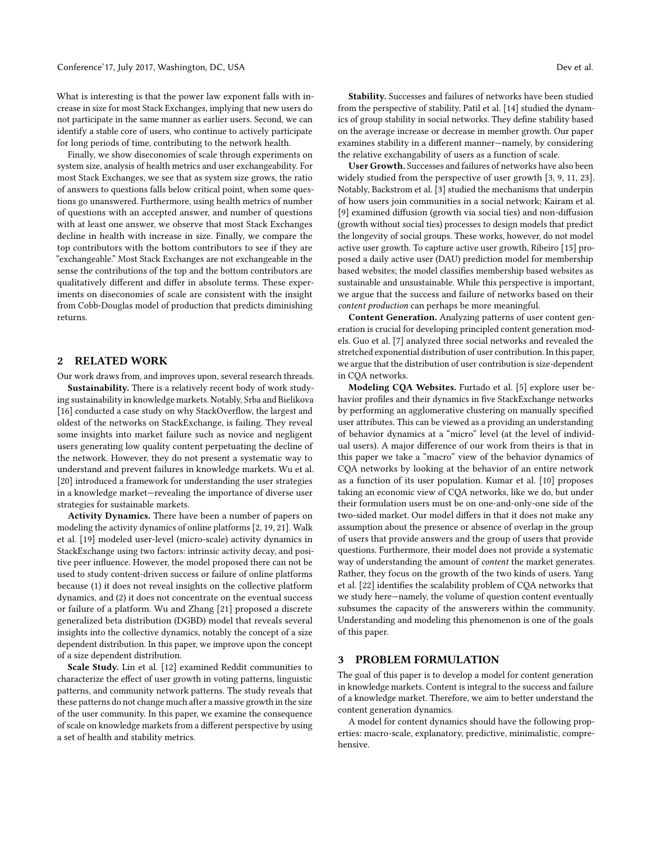What is interesting is that the power law exponent falls with increase in size for most Stack Exchanges, implying that new users do not participate in the same manner as earlier users. Second, we can identify a stable core of users, who continue to actively participate for long periods of time, contributing to the network health.

Finally, we show diseconomies of scale through experiments on system size, analysis of health metrics and user exchangeability. For most Stack Exchanges, we see that as system size grows, the ratio of answers to questions falls below critical point, when some questions go unanswered. Furthermore, using health metrics of number of questions with an accepted answer, and number of questions with at least one answer, we observe that most Stack Exchanges decline in health with increase in size. Finally, we compare the top contributors with the bottom contributors to see if they are "exchangeable." Most Stack Exchanges are not exchangeable in the sense the contributions of the top and the bottom contributors are qualitatively different and differ in absolute terms. These experiments on diseconomies of scale are consistent with the insight from Cobb-Douglas model of production that predicts diminishing returns.

# 2 RELATED WORK

Our work draws from, and improves upon, several research threads.

Sustainability. There is a relatively recent body of work studying sustainability in knowledge markets. Notably, Srba and Bielikova [\[16\]](#page-9-1) conducted a case study on why StackOverflow, the largest and oldest of the networks on StackExchange, is failing. They reveal some insights into market failure such as novice and negligent users generating low quality content perpetuating the decline of the network. However, they do not present a systematic way to understand and prevent failures in knowledge markets. Wu et al. [\[20\]](#page-9-2) introduced a framework for understanding the user strategies in a knowledge market—revealing the importance of diverse user strategies for sustainable markets.

Activity Dynamics. There have been a number of papers on modeling the activity dynamics of online platforms [\[2,](#page-8-0) [19,](#page-9-3) [21\]](#page-9-4). Walk et al. [\[19\]](#page-9-3) modeled user-level (micro-scale) activity dynamics in StackExchange using two factors: intrinsic activity decay, and positive peer influence. However, the model proposed there can not be used to study content-driven success or failure of online platforms because (1) it does not reveal insights on the collective platform dynamics, and (2) it does not concentrate on the eventual success or failure of a platform. Wu and Zhang [\[21\]](#page-9-4) proposed a discrete generalized beta distribution (DGBD) model that reveals several insights into the collective dynamics, notably the concept of a size dependent distribution. In this paper, we improve upon the concept of a size dependent distribution.

Scale Study. Lin et al. [\[12\]](#page-9-5) examined Reddit communities to characterize the effect of user growth in voting patterns, linguistic patterns, and community network patterns. The study reveals that these patterns do not change much after a massive growth in the size of the user community. In this paper, we examine the consequence of scale on knowledge markets from a different perspective by using a set of health and stability metrics.

Stability. Successes and failures of networks have been studied from the perspective of stability. Patil et al. [\[14\]](#page-9-6) studied the dynamics of group stability in social networks. They define stability based on the average increase or decrease in member growth. Our paper examines stability in a different manner—namely, by considering the relative exchangability of users as a function of scale.

User Growth. Successes and failures of networks have also been widely studied from the perspective of user growth [\[3,](#page-8-1) [9,](#page-9-7) [11,](#page-9-8) [23\]](#page-9-9). Notably, Backstrom et al. [\[3\]](#page-8-1) studied the mechanisms that underpin of how users join communities in a social network; Kairam et al. [\[9\]](#page-9-7) examined diffusion (growth via social ties) and non-diffusion (growth without social ties) processes to design models that predict the longevity of social groups. These works, however, do not model active user growth. To capture active user growth, Ribeiro [\[15\]](#page-9-10) proposed a daily active user (DAU) prediction model for membership based websites; the model classifies membership based websites as sustainable and unsustainable. While this perspective is important, we argue that the success and failure of networks based on their content production can perhaps be more meaningful.

Content Generation. Analyzing patterns of user content generation is crucial for developing principled content generation models. Guo et al. [\[7\]](#page-9-11) analyzed three social networks and revealed the stretched exponential distribution of user contribution. In this paper, we argue that the distribution of user contribution is size-dependent in CQA networks.

Modeling CQA Websites. Furtado et al. [\[5\]](#page-9-12) explore user behavior profiles and their dynamics in five StackExchange networks by performing an agglomerative clustering on manually specified user attributes. This can be viewed as a providing an understanding of behavior dynamics at a "micro" level (at the level of individual users). A major difference of our work from theirs is that in this paper we take a "macro" view of the behavior dynamics of CQA networks by looking at the behavior of an entire network as a function of its user population. Kumar et al. [\[10\]](#page-9-13) proposes taking an economic view of CQA networks, like we do, but under their formulation users must be on one-and-only-one side of the two-sided market. Our model differs in that it does not make any assumption about the presence or absence of overlap in the group of users that provide answers and the group of users that provide questions. Furthermore, their model does not provide a systematic way of understanding the amount of content the market generates. Rather, they focus on the growth of the two kinds of users. Yang et al. [\[22\]](#page-9-14) identifies the scalability problem of CQA networks that we study here—namely, the volume of question content eventually subsumes the capacity of the answerers within the community. Understanding and modeling this phenomenon is one of the goals of this paper.

# 3 PROBLEM FORMULATION

The goal of this paper is to develop a model for content generation in knowledge markets. Content is integral to the success and failure of a knowledge market. Therefore, we aim to better understand the content generation dynamics.

A model for content dynamics should have the following properties: macro-scale, explanatory, predictive, minimalistic, comprehensive.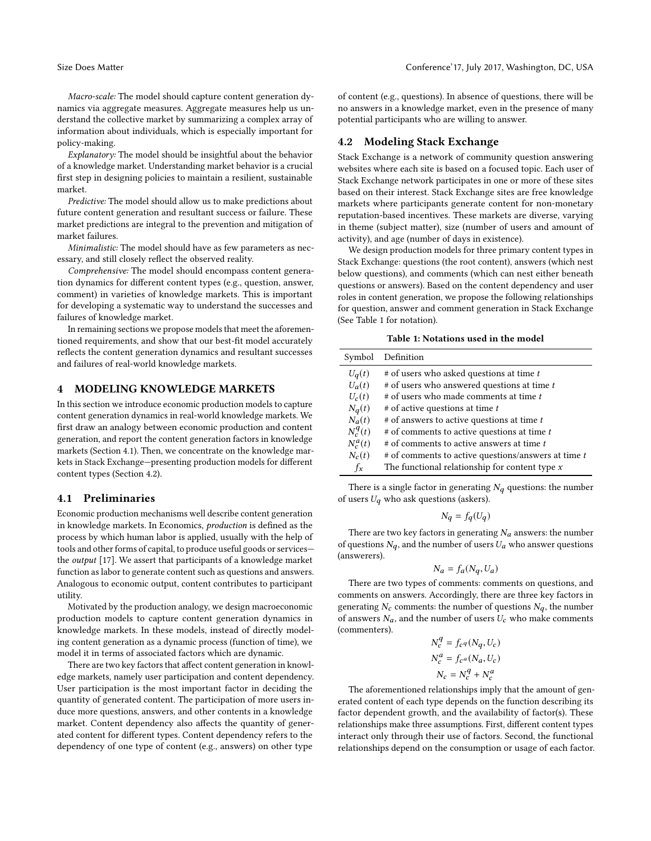Macro-scale: The model should capture content generation dynamics via aggregate measures. Aggregate measures help us understand the collective market by summarizing a complex array of information about individuals, which is especially important for policy-making.

Explanatory: The model should be insightful about the behavior of a knowledge market. Understanding market behavior is a crucial first step in designing policies to maintain a resilient, sustainable market.

Predictive: The model should allow us to make predictions about future content generation and resultant success or failure. These market predictions are integral to the prevention and mitigation of market failures.

Minimalistic: The model should have as few parameters as necessary, and still closely reflect the observed reality.

Comprehensive: The model should encompass content generation dynamics for different content types (e.g., question, answer, comment) in varieties of knowledge markets. This is important for developing a systematic way to understand the successes and failures of knowledge market.

In remaining sections we propose models that meet the aforementioned requirements, and show that our best-fit model accurately reflects the content generation dynamics and resultant successes and failures of real-world knowledge markets.

### 4 MODELING KNOWLEDGE MARKETS

In this section we introduce economic production models to capture content generation dynamics in real-world knowledge markets. We first draw an analogy between economic production and content generation, and report the content generation factors in knowledge markets (Section 4.1). Then, we concentrate on the knowledge markets in Stack Exchange—presenting production models for different content types (Section 4.2).

### 4.1 Preliminaries

Economic production mechanisms well describe content generation in knowledge markets. In Economics, production is defined as the process by which human labor is applied, usually with the help of tools and other forms of capital, to produce useful goods or services the output [\[17\]](#page-9-15). We assert that participants of a knowledge market function as labor to generate content such as questions and answers. Analogous to economic output, content contributes to participant utility.

Motivated by the production analogy, we design macroeconomic production models to capture content generation dynamics in knowledge markets. In these models, instead of directly modeling content generation as a dynamic process (function of time), we model it in terms of associated factors which are dynamic.

There are two key factors that affect content generation in knowledge markets, namely user participation and content dependency. User participation is the most important factor in deciding the quantity of generated content. The participation of more users induce more questions, answers, and other contents in a knowledge market. Content dependency also affects the quantity of generated content for different types. Content dependency refers to the dependency of one type of content (e.g., answers) on other type

of content (e.g., questions). In absence of questions, there will be no answers in a knowledge market, even in the presence of many potential participants who are willing to answer.

# 4.2 Modeling Stack Exchange

Stack Exchange is a network of community question answering websites where each site is based on a focused topic. Each user of Stack Exchange network participates in one or more of these sites based on their interest. Stack Exchange sites are free knowledge markets where participants generate content for non-monetary reputation-based incentives. These markets are diverse, varying in theme (subject matter), size (number of users and amount of activity), and age (number of days in existence).

We design production models for three primary content types in Stack Exchange: questions (the root content), answers (which nest below questions), and comments (which can nest either beneath questions or answers). Based on the content dependency and user roles in content generation, we propose the following relationships for question, answer and comment generation in Stack Exchange (See Table [1](#page-2-0) for notation).

| Table 1: Notations used in the model |  |  |  |
|--------------------------------------|--|--|--|
|--------------------------------------|--|--|--|

<span id="page-2-0"></span>

|            | Symbol Definition                                     |
|------------|-------------------------------------------------------|
| $U_q(t)$   | # of users who asked questions at time t              |
| $U_a(t)$   | # of users who answered questions at time t           |
| $U_c(t)$   | # of users who made comments at time t                |
| $N_q(t)$   | # of active questions at time t                       |
| $N_a(t)$   | # of answers to active questions at time t            |
| $N_c^q(t)$ | # of comments to active questions at time t           |
| $N_c^a(t)$ | # of comments to active answers at time t             |
| $N_c(t)$   | $#$ of comments to active questions/answers at time t |
| $f_x$      | The functional relationship for content type $x$      |
|            |                                                       |

There is a single factor in generating  $N_q$  questions: the number of users  $U_q$  who ask questions (askers).

$$
N_q = f_q(U_q)
$$

There are two key factors in generating  $N_a$  answers: the number of questions  $N_q$ , and the number of users  $U_a$  who answer questions (answerers).

$$
N_a = f_a(N_q, U_a)
$$

 $N_a = f_a(N_q, U_a)$ <br>There are two types of comments: comments on questions, and comments on answers. Accordingly, there are three key factors in generating  $N_c$  comments: the number of questions  $N_q$ , the number of answers  $N_a$ , and the number of users  $U_c$  who make comments (commenters).

$$
N_c^q = f_c q (N_q, U_c)
$$
  
\n
$$
N_c^q = f_c q (N_a, U_c)
$$
  
\n
$$
N_c = N_c^q + N_c^q
$$

 $N_c = N_c^q + N_c^q$ <br>The aforementioned relationships imply that the amount of generated content of each type depends on the function describing its factor dependent growth, and the availability of factor(s). These relationships make three assumptions. First, different content types interact only through their use of factors. Second, the functional relationships depend on the consumption or usage of each factor.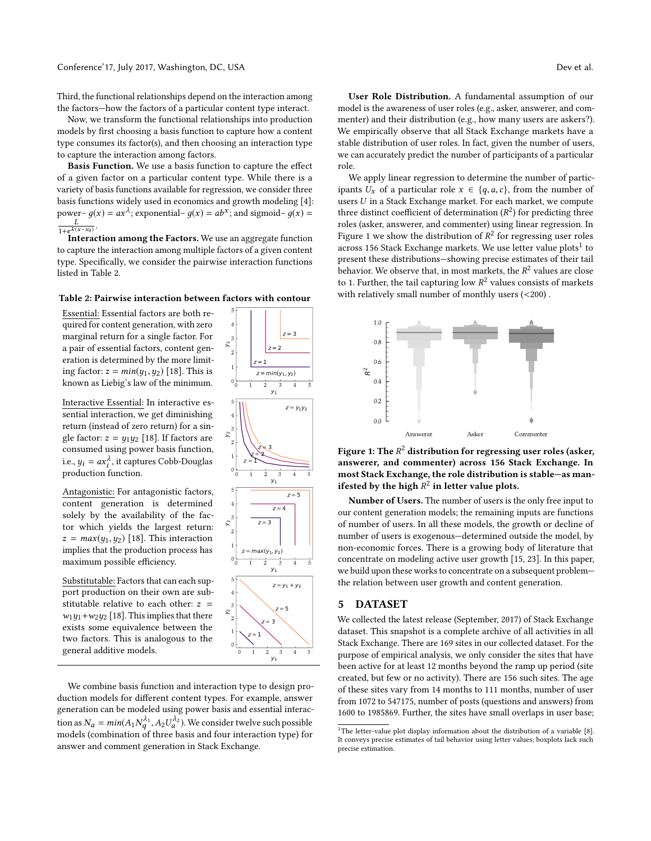Third, the functional relationships depend on the interaction among

the factors—how the factors of a particular content type interact. Now, we transform the functional relationships into production models by first choosing a basis function to capture how a content type consumes its factor(s), and then choosing an interaction type to capture the interaction among factors.

Basis Function. We use a basis function to capture the effect of a given factor on a particular content type. While there is a variety of basis functions available for regression, we consider three basis functions widely used in economics and growth modeling [\[4\]](#page-8-2): power–  $g(x) = ax^{\lambda}$ ; exponential–  $g(x) = ab^{x}$ ; and sigmoid–  $g(x) =$  $\frac{1+e^{k(x-x_0)}}{\text{Intera}}$ .

Interaction among the Factors. We use an aggregate function to capture the interaction among multiple factors of a given content type. Specifically, we consider the pairwise interaction functions listed in Table [2.](#page-3-0)

### <span id="page-3-0"></span>Table 2: Pairwise interaction between factors with contour

0 1 2 3 4 5  $y_1$ 

 $z = y_1y_2$ 

 $z = 5$  $z = 4$  $z = 3$ 

0 1 2 3 4 5  $V_1$ 

0 1 2 3 4 5  $y_1$ 

 $z = y_1 + y_2$ 

0 1 2 3 4 5  $y_1$ 

 $z = max(y_1, y_2)$ 

 $z = 1$  $z = 3$  $z = 5$ 

 $z = min(y_1, y_2)$ 

 $z = 1$  $z = 2$  $z = 3$ 

0 1 | | 2 | I 3 4 F I I 5 ا 1

 $0 -$ 1 <u>|</u>  $2 \nmid$ 3 E 4 5 F

아. 1 |  $\sim$  $2 \nmid$ 3 |  $\sim$ 4 5 F  $\backsim$ 

 $\mathbb{Z}$   $\Box$ 

 $\mathbb{Z}$   $\Box$ 

 $z = 1$   $\sim$ z = 2  $z = 3$ 

 $\hat{z}$  | 1

 $\mathbb{Z}$   $\Box$ 

Essential: Essential factors are both required for content generation, with zero marginal return for a single factor. For a pair of essential factors, content generation is determined by the more limiting factor:  $z = min(y_1, y_2)$  [\[18\]](#page-9-16). This is known as Liebig's law of the minimum.

Interactive Essential: In interactive essential interaction, we get diminishing return (instead of zero return) for a single factor:  $z = y_1y_2$  [\[18\]](#page-9-16). If factors are consumed using power basis function, i.e.,  $y_i = ax_i^{\lambda}$ , it captures Cobb-Douglas production function.

Antagonistic: For antagonistic factors, content generation is determined solely by the availability of the factor which yields the largest return:  $z = max(y_1, y_2)$  [\[18\]](#page-9-16). This interaction implies that the production process has maximum possible efficiency.

Substitutable: Factors that can each support production on their own are substitutable relative to each other:  $z =$  $w_1y_1+w_2y_2$  [\[18\]](#page-9-16). This implies that there exists some equivalence between the two factors. This is analogous to the general additive models.

We combine basis function and interaction type to design production models for different content types. For example, answer generation can be modeled using power basis and essential interaction as  $N_a = min(A_1 N_1^{A_1}, A_2 U_a^{A_2})$ . We consider twelve such possible<br>models (combination of three besis and four interestion type) for models (combination of three basis and four interaction type) for answer and comment generation in Stack Exchange.

User Role Distribution. A fundamental assumption of our model is the awareness of user roles (e.g., asker, answerer, and commenter) and their distribution (e.g., how many users are askers?). We empirically observe that all Stack Exchange markets have a stable distribution of user roles. In fact, given the number of users, we can accurately predict the number of participants of a particular role.

We apply linear regression to determine the number of participants  $U_x$  of a particular role  $x \in \{q, a, c\}$ , from the number of users U in a Stack Exchange market. For each market, we compute three distinct coefficient of determination  $(R^2)$  for predicting three<br>roles (asker answerer and commenter) using linear regression. In roles (asker, answerer, and commenter) using linear regression. In Figure [1](#page-3-1) we show the distribution of  $R^2$  for regressing user roles<br>across 156 Stack Exchange markets. We use letter value plots<sup>1</sup> to across [1](#page-3-2)56 Stack Exchange markets. We use letter value  ${\rm plots^1}$  to present these distributions—showing precise estimates of their tail behavior. We observe that, in most markets, the  $R^2$  values are close<br>to 1. Eurther, the tail conturing low  $R^2$  values consists of markets to 1. Further, the tail capturing low  $R^2$  values consists of markets<br>with relatively small number of monthly users (<200) with relatively small number of monthly users (<200) .

<span id="page-3-1"></span>

Figure 1: The  $R^2$  distribution for regressing user roles (asker,<br>answerer, and commenter) across 156 Stack Exchange. In answerer, and commenter) across 156 Stack Exchange. In most Stack Exchange, the role distribution is stable—as manifested by the high  $R^2$  in letter value plots.

Number of Users. The number of users is the only free input to our content generation models; the remaining inputs are functions of number of users. In all these models, the growth or decline of number of users is exogenous—determined outside the model, by non-economic forces. There is a growing body of literature that concentrate on modeling active user growth [\[15,](#page-9-10) [23\]](#page-9-9). In this paper, we build upon these works to concentrate on a subsequent problem the relation between user growth and content generation.

### 5 DATASET

We collected the latest release (September, 2017) of Stack Exchange dataset. This snapshot is a complete archive of all activities in all Stack Exchange. There are 169 sites in our collected dataset. For the purpose of empirical analysis, we only consider the sites that have been active for at least 12 months beyond the ramp up period (site created, but few or no activity). There are 156 such sites. The age of these sites vary from 14 months to 111 months, number of user from 1072 to 547175, number of posts (questions and answers) from 1600 to 1985869. Further, the sites have small overlaps in user base;

<span id="page-3-2"></span><sup>&</sup>lt;sup>1</sup>The letter-value plot display information about the distribution of a variable  $[8]$ . It conveys precise estimates of tail behavior using letter values; boxplots lack such precise estimation.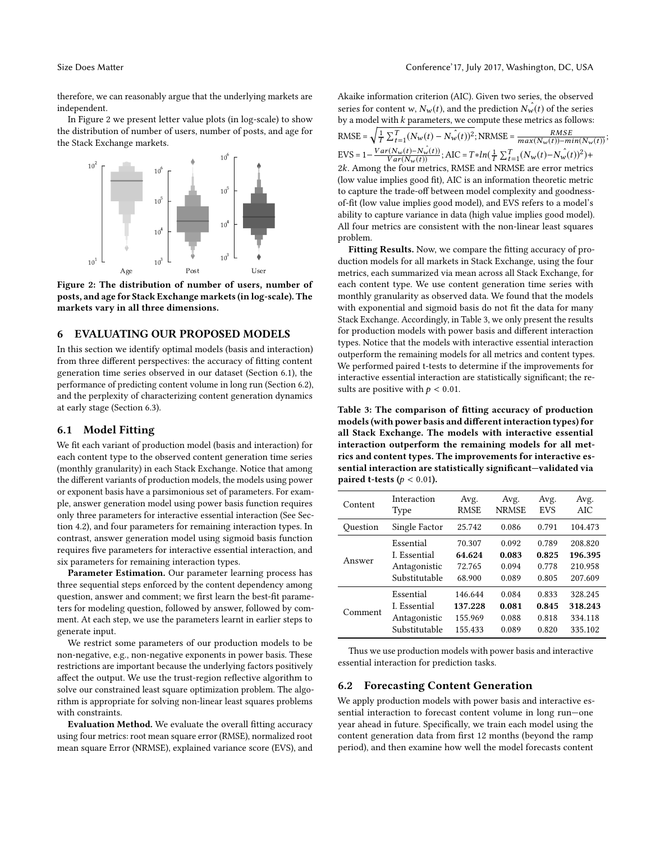therefore, we can reasonably argue that the underlying markets are independent.

In Figure [2](#page-4-0) we present letter value plots (in log-scale) to show the distribution of number of users, number of posts, and age for the Stack Exchange markets.

<span id="page-4-0"></span>

Figure 2: The distribution of number of users, number of posts, and age for Stack Exchange markets (in log-scale). The markets vary in all three dimensions.

# 6 EVALUATING OUR PROPOSED MODELS

In this section we identify optimal models (basis and interaction) from three different perspectives: the accuracy of fitting content generation time series observed in our dataset (Section 6.1), the performance of predicting content volume in long run (Section 6.2), and the perplexity of characterizing content generation dynamics at early stage (Section 6.3).

# 6.1 Model Fitting

We fit each variant of production model (basis and interaction) for each content type to the observed content generation time series (monthly granularity) in each Stack Exchange. Notice that among the different variants of production models, the models using power or exponent basis have a parsimonious set of parameters. For example, answer generation model using power basis function requires only three parameters for interactive essential interaction (See Section 4.2), and four parameters for remaining interaction types. In contrast, answer generation model using sigmoid basis function requires five parameters for interactive essential interaction, and six parameters for remaining interaction types.

Parameter Estimation. Our parameter learning process has three sequential steps enforced by the content dependency among question, answer and comment; we first learn the best-fit parameters for modeling question, followed by answer, followed by comment. At each step, we use the parameters learnt in earlier steps to generate input.

We restrict some parameters of our production models to be non-negative, e.g., non-negative exponents in power basis. These restrictions are important because the underlying factors positively affect the output. We use the trust-region reflective algorithm to solve our constrained least square optimization problem. The algorithm is appropriate for solving non-linear least squares problems with constraints.

Evaluation Method. We evaluate the overall fitting accuracy using four metrics: root mean square error (RMSE), normalized root mean square Error (NRMSE), explained variance score (EVS), and Akaike information criterion (AIC). Given two series, the observed series for content w,  $N_w(t)$ , and the prediction  $N_w(t)$  of the series by a model with  $k$  parameters, we compute these metrics as follows: RMSE =  $\sqrt{\frac{1}{T} \sum_{t=1}^{T} (N_w(t) - N_w(t))^2}$ ; NRMSE =  $\frac{RMSE}{max(N_w(t)) - min(N_w(t))}$ ;  $\text{EVS} = 1 - \frac{Var(N_w(t) - N_w(t))}{Var(N_w(t))}; \text{AIC} = T * ln(\frac{1}{T} \sum_{t=1}^{T} (N_w(t) - N_w(t))^2) +$ <br>2k Among the four metrics RMSE and NRMSE are error metrics 2k. Among the four metrics, RMSE and NRMSE are error metrics<br>(low value implies good fit), AIC is an information theoretic metric (low value implies good fit), AIC is an information theoretic metric to capture the trade-off between model complexity and goodnessof-fit (low value implies good model), and EVS refers to a model's ability to capture variance in data (high value implies good model). All four metrics are consistent with the non-linear least squares problem.

Fitting Results. Now, we compare the fitting accuracy of production models for all markets in Stack Exchange, using the four metrics, each summarized via mean across all Stack Exchange, for each content type. We use content generation time series with monthly granularity as observed data. We found that the models with exponential and sigmoid basis do not fit the data for many Stack Exchange. Accordingly, in Table [3,](#page-4-1) we only present the results for production models with power basis and different interaction types. Notice that the models with interactive essential interaction outperform the remaining models for all metrics and content types. We performed paired t-tests to determine if the improvements for interactive essential interaction are statistically significant; the results are positive with  $p < 0.01$ .

<span id="page-4-1"></span>Table 3: The comparison of fitting accuracy of production models (with power basis and different interaction types) for all Stack Exchange. The models with interactive essential interaction outperform the remaining models for all metrics and content types. The improvements for interactive essential interaction are statistically significant—validated via paired t-tests ( $p < 0.01$ ).

| Content  | Interaction   | Avg.        | Avg.         | Avg.       | Avg.    |
|----------|---------------|-------------|--------------|------------|---------|
|          | <b>Type</b>   | <b>RMSE</b> | <b>NRMSE</b> | <b>EVS</b> | AIC     |
| Ouestion | Single Factor | 25.742      | 0.086        | 0.791      | 104.473 |
| Answer   | Essential     | 70.307      | 0.092        | 0.789      | 208.820 |
|          | I. Essential  | 64.624      | 0.083        | 0.825      | 196.395 |
|          | Antagonistic  | 72.765      | 0.094        | 0.778      | 210.958 |
|          | Substitutable | 68.900      | 0.089        | 0.805      | 207.609 |
| Comment  | Essential     | 146.644     | 0.084        | 0.833      | 328.245 |
|          | I. Essential  | 137.228     | 0.081        | 0.845      | 318.243 |
|          | Antagonistic  | 155.969     | 0.088        | 0.818      | 334.118 |
|          | Substitutable | 155.433     | 0.089        | 0.820      | 335.102 |

Thus we use production models with power basis and interactive essential interaction for prediction tasks.

#### 6.2 Forecasting Content Generation

We apply production models with power basis and interactive essential interaction to forecast content volume in long run—one year ahead in future. Specifically, we train each model using the content generation data from first 12 months (beyond the ramp period), and then examine how well the model forecasts content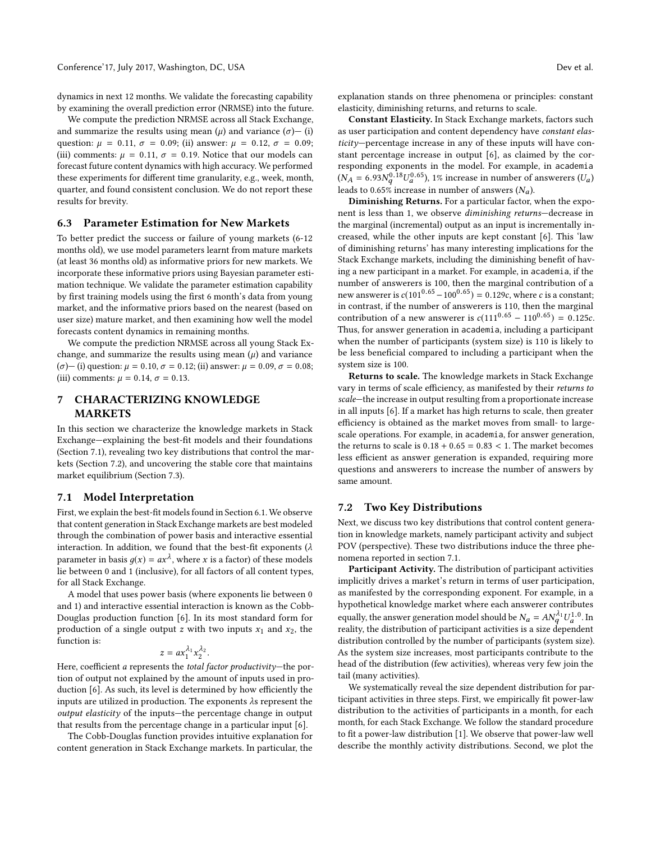dynamics in next 12 months. We validate the forecasting capability by examining the overall prediction error (NRMSE) into the future.

We compute the prediction NRMSE across all Stack Exchange, and summarize the results using mean  $(\mu)$  and variance  $(\sigma)$  – (i) question:  $\mu = 0.11$ ,  $\sigma = 0.09$ ; (ii) answer:  $\mu = 0.12$ ,  $\sigma = 0.09$ ; (iii) comments:  $\mu = 0.11$ ,  $\sigma = 0.19$ . Notice that our models can forecast future content dynamics with high accuracy. We performed these experiments for different time granularity, e.g., week, month, quarter, and found consistent conclusion. We do not report these results for brevity.

### 6.3 Parameter Estimation for New Markets

To better predict the success or failure of young markets (6-12 months old), we use model parameters learnt from mature markets (at least 36 months old) as informative priors for new markets. We incorporate these informative priors using Bayesian parameter estimation technique. We validate the parameter estimation capability by first training models using the first 6 month's data from young market, and the informative priors based on the nearest (based on user size) mature market, and then examining how well the model forecasts content dynamics in remaining months.

We compute the prediction NRMSE across all young Stack Exchange, and summarize the results using mean  $(\mu)$  and variance  $(σ)$ — (i) question:  $μ = 0.10, σ = 0.12$ ; (ii) answer:  $μ = 0.09, σ = 0.08$ ; (iii) comments:  $\mu = 0.14$ ,  $\sigma = 0.13$ .

# 7 CHARACTERIZING KNOWLEDGE MARKETS

In this section we characterize the knowledge markets in Stack Exchange—explaining the best-fit models and their foundations (Section 7.1), revealing two key distributions that control the markets (Section 7.2), and uncovering the stable core that maintains market equilibrium (Section 7.3).

### 7.1 Model Interpretation

First, we explain the best-fit models found in Section 6.1. We observe that content generation in Stack Exchange markets are best modeled through the combination of power basis and interactive essential interaction. In addition, we found that the best-fit exponents ( $\lambda$ parameter in basis  $g(x) = ax^{\lambda}$ , where x is a factor) of these models<br>lie between 0 and 1 (inclusive), for all factors of all content types lie between 0 and 1 (inclusive), for all factors of all content types, for all Stack Exchange.

A model that uses power basis (where exponents lie between 0 and 1) and interactive essential interaction is known as the Cobb-Douglas production function [\[6\]](#page-9-18). In its most standard form for production of a single output z with two inputs  $x_1$  and  $x_2$ , the function is:

$$
z = a x_1^{\lambda_1} x_2^{\lambda_2}.
$$

 $z = ax_1^{\lambda_1}x_2^{\lambda_2}$ .<br>Here, coefficient a represents the *total factor productivity*—the por-<br>tion of output not explained by the amount of inputs used in protion of output not explained by the amount of inputs used in production [\[6\]](#page-9-18). As such, its level is determined by how efficiently the inputs are utilized in production. The exponents  $\lambda$ s represent the output elasticity of the inputs—the percentage change in output that results from the percentage change in a particular input [\[6\]](#page-9-18).

The Cobb-Douglas function provides intuitive explanation for content generation in Stack Exchange markets. In particular, the explanation stands on three phenomena or principles: constant elasticity, diminishing returns, and returns to scale.

Constant Elasticity. In Stack Exchange markets, factors such as user participation and content dependency have constant elasticity—percentage increase in any of these inputs will have constant percentage increase in output [\[6\]](#page-9-18), as claimed by the corresponding exponents in the model. For example, in academia  $(N_A = 6.93N_q^{0.18}U_a^{0.65})$ , 1% increase in number of answerers  $(U_a)$ <br>leads to 0.65% increase in number of answers  $(N_A)$ leads to 0.65% increase in number of answers  $(N_a)$ .<br>Diminishing Peturns, For a particular factor.

Diminishing Returns. For a particular factor, when the exponent is less than 1, we observe diminishing returns—decrease in the marginal (incremental) output as an input is incrementally increased, while the other inputs are kept constant [\[6\]](#page-9-18). This 'law of diminishing returns' has many interesting implications for the Stack Exchange markets, including the diminishing benefit of having a new participant in a market. For example, in academia, if the number of answerers is 100, then the marginal contribution of a new answerer is  $c(101^{0.65} - 100^{0.65}) = 0.129c$ , where c is a constant; in contrast, if the number of answerers is 110, then the marginal contribution of a new answerer is  $c(111^{0.65} - 110^{0.65}) = 0.125c$ . Thus, for answer generation in academia, including a participant when the number of participants (system size) is 110 is likely to be less beneficial compared to including a participant when the system size is 100.

Returns to scale. The knowledge markets in Stack Exchange vary in terms of scale efficiency, as manifested by their returns to scale—the increase in output resulting from a proportionate increase in all inputs [\[6\]](#page-9-18). If a market has high returns to scale, then greater efficiency is obtained as the market moves from small- to largescale operations. For example, in academia, for answer generation, the returns to scale is  $0.18 + 0.65 = 0.83 < 1$ . The market becomes less efficient as answer generation is expanded, requiring more questions and answerers to increase the number of answers by same amount.

# 7.2 Two Key Distributions

Next, we discuss two key distributions that control content generation in knowledge markets, namely participant activity and subject POV (perspective). These two distributions induce the three phenomena reported in section 7.1.

Participant Activity. The distribution of participant activities implicitly drives a market's return in terms of user participation, as manifested by the corresponding exponent. For example, in a hypothetical knowledge market where each answerer contributes equally, the answer generation model should be  $N_a = AN_q^{A_1} U_a^{1.0}$ . In reality, the distribution of participant activities is a size dependent. reality, the distribution of participant activities is a size dependent distribution controlled by the number of participants (system size). As the system size increases, most participants contribute to the head of the distribution (few activities), whereas very few join the tail (many activities).

We systematically reveal the size dependent distribution for participant activities in three steps. First, we empirically fit power-law distribution to the activities of participants in a month, for each month, for each Stack Exchange. We follow the standard procedure to fit a power-law distribution [\[1\]](#page-8-3). We observe that power-law well describe the monthly activity distributions. Second, we plot the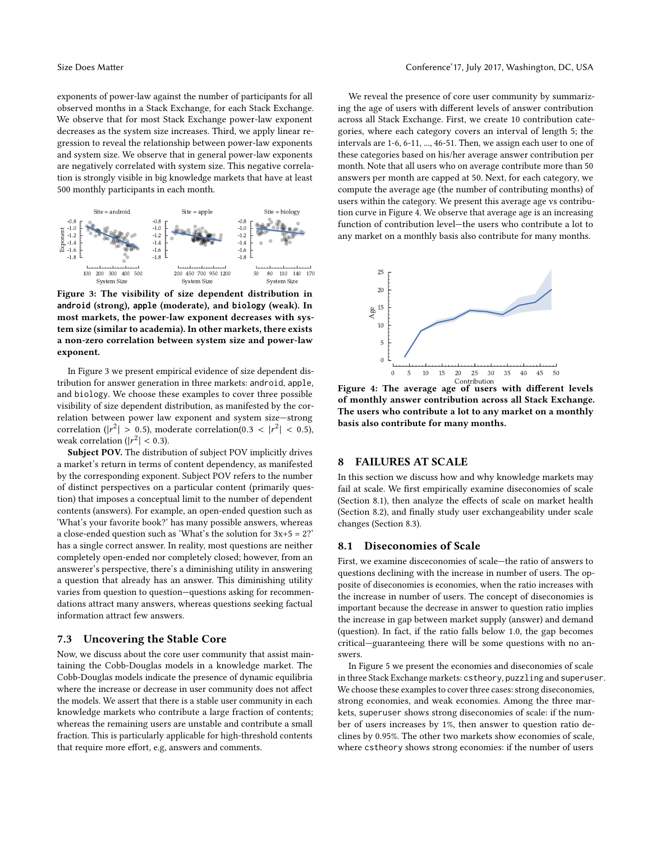exponents of power-law against the number of participants for all observed months in a Stack Exchange, for each Stack Exchange. We observe that for most Stack Exchange power-law exponent decreases as the system size increases. Third, we apply linear regression to reveal the relationship between power-law exponents and system size. We observe that in general power-law exponents are negatively correlated with system size. This negative correlation is strongly visible in big knowledge markets that have at least 500 monthly participants in each month.

<span id="page-6-0"></span>

Figure 3: The visibility of size dependent distribution in **android** (strong), **apple** (moderate), and **biology** (weak). In most markets, the power-law exponent decreases with system size (similar to academia). In other markets, there exists a non-zero correlation between system size and power-law exponent.

In Figure [3](#page-6-0) we present empirical evidence of size dependent distribution for answer generation in three markets: android, apple, and biology. We choose these examples to cover three possible visibility of size dependent distribution, as manifested by the correlation between power law exponent and system size—strong correlation ( $|r^2| > 0.5$ ), moderate correlation( $0.3 < |r^2| < 0.5$ ), weak correlation ( $|r^2| > 0.3$ ) weak correlation ( $|r^2| < 0.3$ ).<br>Subject POV The distribution

Subject POV. The distribution of subject POV implicitly drives a market's return in terms of content dependency, as manifested by the corresponding exponent. Subject POV refers to the number of distinct perspectives on a particular content (primarily question) that imposes a conceptual limit to the number of dependent contents (answers). For example, an open-ended question such as 'What's your favorite book?' has many possible answers, whereas a close-ended question such as 'What's the solution for  $3x+5 = 2$ ?' has a single correct answer. In reality, most questions are neither completely open-ended nor completely closed; however, from an answerer's perspective, there's a diminishing utility in answering a question that already has an answer. This diminishing utility varies from question to question—questions asking for recommendations attract many answers, whereas questions seeking factual information attract few answers.

# 7.3 Uncovering the Stable Core

Now, we discuss about the core user community that assist maintaining the Cobb-Douglas models in a knowledge market. The Cobb-Douglas models indicate the presence of dynamic equilibria where the increase or decrease in user community does not affect the models. We assert that there is a stable user community in each knowledge markets who contribute a large fraction of contents; whereas the remaining users are unstable and contribute a small fraction. This is particularly applicable for high-threshold contents that require more effort, e.g, answers and comments.

We reveal the presence of core user community by summarizing the age of users with different levels of answer contribution across all Stack Exchange. First, we create 10 contribution categories, where each category covers an interval of length 5; the intervals are 1-6, 6-11, ..., 46-51. Then, we assign each user to one of these categories based on his/her average answer contribution per month. Note that all users who on average contribute more than 50 answers per month are capped at 50. Next, for each category, we compute the average age (the number of contributing months) of users within the category. We present this average age vs contribution curve in Figure [4.](#page-6-1) We observe that average age is an increasing function of contribution level—the users who contribute a lot to any market on a monthly basis also contribute for many months.

<span id="page-6-1"></span>

Contribution Figure 4: The average age of users with different levels of monthly answer contribution across all Stack Exchange. The users who contribute a lot to any market on a monthly basis also contribute for many months.

# 8 FAILURES AT SCALE

In this section we discuss how and why knowledge markets may fail at scale. We first empirically examine diseconomies of scale (Section 8.1), then analyze the effects of scale on market health (Section 8.2), and finally study user exchangeability under scale changes (Section 8.3).

# 8.1 Diseconomies of Scale

First, we examine disceconomies of scale—the ratio of answers to questions declining with the increase in number of users. The opposite of diseconomies is economies, when the ratio increases with the increase in number of users. The concept of diseconomies is important because the decrease in answer to question ratio implies the increase in gap between market supply (answer) and demand (question). In fact, if the ratio falls below 1.0, the gap becomes critical—guaranteeing there will be some questions with no answers.

In Figure [5](#page-7-0) we present the economies and diseconomies of scale in three Stack Exchange markets: cstheory, puzzling and superuser. We choose these examples to cover three cases: strong diseconomies, strong economies, and weak economies. Among the three markets, superuser shows strong diseconomies of scale: if the number of users increases by 1%, then answer to question ratio declines by 0.95%. The other two markets show economies of scale, where cstheory shows strong economies: if the number of users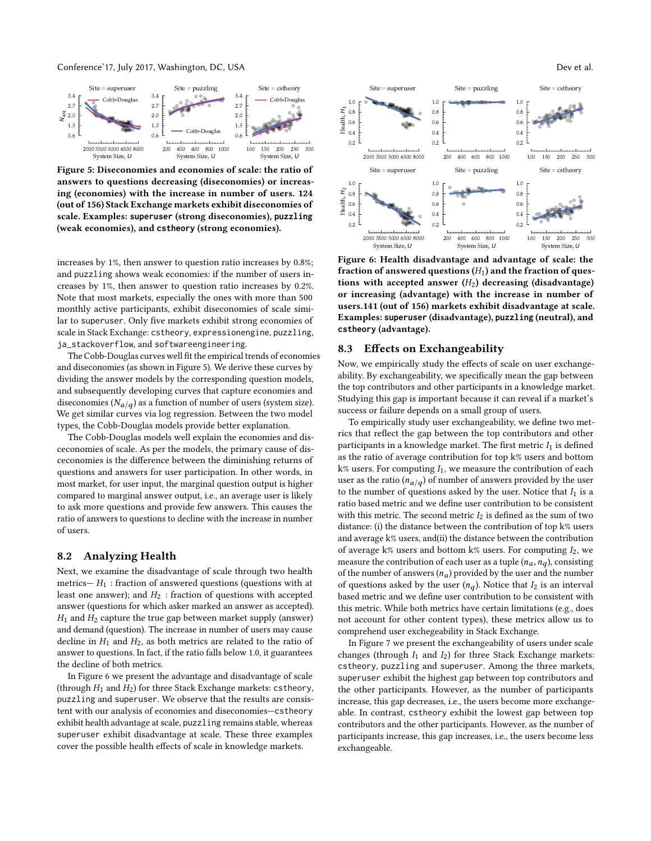<span id="page-7-0"></span>

Figure 5: Diseconomies and economies of scale: the ratio of answers to questions decreasing (diseconomies) or increasing (economies) with the increase in number of users. 124 (out of 156) Stack Exchange markets exhibit diseconomies of scale. Examples: **superuser** (strong diseconomies), **puzzling** (weak economies), and **cstheory** (strong economies).

increases by 1%, then answer to question ratio increases by 0.8%; and puzzling shows weak economies: if the number of users increases by 1%, then answer to question ratio increases by 0.2%. Note that most markets, especially the ones with more than 500 monthly active participants, exhibit diseconomies of scale similar to superuser. Only five markets exhibit strong economies of scale in Stack Exchange: cstheory, expressionengine, puzzling, ja\_stackoverflow, and softwareengineering.

The Cobb-Douglas curves well fit the empirical trends of economies and diseconomies (as shown in Figure [5\)](#page-7-0). We derive these curves by dividing the answer models by the corresponding question models, and subsequently developing curves that capture economies and diseconomies ( $N_{a/q}$ ) as a function of number of users (system size).<br>We get similar curves via log regression. Between the two model We get similar curves via log regression. Between the two model types, the Cobb-Douglas models provide better explanation.

The Cobb-Douglas models well explain the economies and disceconomies of scale. As per the models, the primary cause of disceconomies is the difference between the diminishing returns of questions and answers for user participation. In other words, in most market, for user input, the marginal question output is higher compared to marginal answer output, i.e., an average user is likely to ask more questions and provide few answers. This causes the ratio of answers to questions to decline with the increase in number of users.

### 8.2 Analyzing Health

Next, we examine the disadvantage of scale through two health metrics— $H_1$ : fraction of answered questions (questions with at least one answer); and  $H_2$ : fraction of questions with accepted answer (questions for which asker marked an answer as accepted).  $H_1$  and  $H_2$  capture the true gap between market supply (answer) and demand (question). The increase in number of users may cause decline in  $H_1$  and  $H_2$ , as both metrics are related to the ratio of answer to questions. In fact, if the ratio falls below 1.0, it guarantees the decline of both metrics.

In Figure [6](#page-7-1) we present the advantage and disadvantage of scale (through  $H_1$  and  $H_2$ ) for three Stack Exchange markets: cstheory, puzzling and superuser. We observe that the results are consistent with our analysis of economies and diseconomies—cstheory exhibit health advantage at scale, puzzling remains stable, whereas superuser exhibit disadvantage at scale. These three examples cover the possible health effects of scale in knowledge markets.

<span id="page-7-1"></span>

Figure 6: Health disadvantage and advantage of scale: the fraction of answered questions  $(H_1)$  and the fraction of questions with accepted answer  $(H_2)$  decreasing (disadvantage) or increasing (advantage) with the increase in number of users.141 (out of 156) markets exhibit disadvantage at scale. Examples: **superuser** (disadvantage), **puzzling** (neutral), and **cstheory** (advantage).

### 8.3 Effects on Exchangeability

Now, we empirically study the effects of scale on user exchangeability. By exchangeability, we specifically mean the gap between the top contributors and other participants in a knowledge market. Studying this gap is important because it can reveal if a market's success or failure depends on a small group of users.

To empirically study user exchangeability, we define two metrics that reflect the gap between the top contributors and other participants in a knowledge market. The first metric  $I_1$  is defined as the ratio of average contribution for top k% users and bottom  $k$ % users. For computing  $I_1$ , we measure the contribution of each user as the ratio  $(n_{a/q})$  of number of answers provided by the user<br>to the number of questions asked by the user Notice that L is a to the number of questions asked by the user. Notice that  $I_1$  is a ratio based metric and we define user contribution to be consistent with this metric. The second metric  $I_2$  is defined as the sum of two distance: (i) the distance between the contribution of top k% users and average k% users, and(ii) the distance between the contribution of average k% users and bottom k% users. For computing  $I_2$ , we measure the contribution of each user as a tuple  $(n_a, n_a)$ , consisting of the number of answers  $(n_a)$  provided by the user and the number of questions asked by the user  $(n_a)$ . Notice that  $I_2$  is an interval based metric and we define user contribution to be consistent with this metric. While both metrics have certain limitations (e.g., does not account for other content types), these metrics allow us to comprehend user exchegeability in Stack Exchange.

In Figure [7](#page-8-4) we present the exchangeability of users under scale changes (through  $I_1$  and  $I_2$ ) for three Stack Exchange markets: cstheory, puzzling and superuser. Among the three markets, superuser exhibit the highest gap between top contributors and the other participants. However, as the number of participants increase, this gap decreases, i.e., the users become more exchangeable. In contrast, cstheory exhibit the lowest gap between top contributors and the other participants. However, as the number of participants increase, this gap increases, i.e., the users become less exchangeable.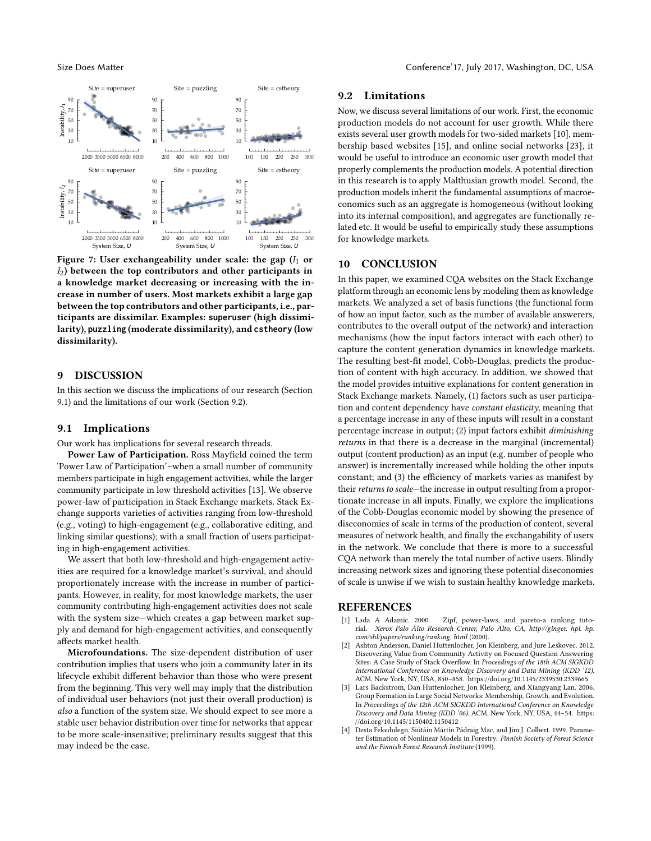<span id="page-8-4"></span>

Figure 7: User exchangeability under scale: the gap  $(I_1 \text{ or } I_2)$  $I_2$ ) between the top contributors and other participants in a knowledge market decreasing or increasing with the increase in number of users. Most markets exhibit a large gap between the top contributors and other participants, i.e., participants are dissimilar. Examples: **superuser** (high dissimilarity), **puzzling** (moderate dissimilarity), and **cstheory** (low dissimilarity).

### 9 DISCUSSION

In this section we discuss the implications of our research (Section 9.1) and the limitations of our work (Section 9.2).

### 9.1 Implications

Our work has implications for several research threads.

Power Law of Participation. Ross Mayfield coined the term 'Power Law of Participation'–when a small number of community members participate in high engagement activities, while the larger community participate in low threshold activities [\[13\]](#page-9-19). We observe power-law of participation in Stack Exchange markets. Stack Exchange supports varieties of activities ranging from low-threshold (e.g., voting) to high-engagement (e.g., collaborative editing, and linking similar questions); with a small fraction of users participating in high-engagement activities.

We assert that both low-threshold and high-engagement activities are required for a knowledge market's survival, and should proportionately increase with the increase in number of participants. However, in reality, for most knowledge markets, the user community contributing high-engagement activities does not scale with the system size—which creates a gap between market supply and demand for high-engagement activities, and consequently affects market health.

Microfoundations. The size-dependent distribution of user contribution implies that users who join a community later in its lifecycle exhibit different behavior than those who were present from the beginning. This very well may imply that the distribution of individual user behaviors (not just their overall production) is also a function of the system size. We should expect to see more a stable user behavior distribution over time for networks that appear to be more scale-insensitive; preliminary results suggest that this may indeed be the case.

### 9.2 Limitations

Now, we discuss several limitations of our work. First, the economic production models do not account for user growth. While there exists several user growth models for two-sided markets [\[10\]](#page-9-13), membership based websites [\[15\]](#page-9-10), and online social networks [\[23\]](#page-9-9), it would be useful to introduce an economic user growth model that properly complements the production models. A potential direction in this research is to apply Malthusian growth model. Second, the production models inherit the fundamental assumptions of macroeconomics such as an aggregate is homogeneous (without looking into its internal composition), and aggregates are functionally related etc. It would be useful to empirically study these assumptions for knowledge markets.

# 10 CONCLUSION

In this paper, we examined CQA websites on the Stack Exchange platform through an economic lens by modeling them as knowledge markets. We analyzed a set of basis functions (the functional form of how an input factor, such as the number of available answerers, contributes to the overall output of the network) and interaction mechanisms (how the input factors interact with each other) to capture the content generation dynamics in knowledge markets. The resulting best-fit model, Cobb-Douglas, predicts the production of content with high accuracy. In addition, we showed that the model provides intuitive explanations for content generation in Stack Exchange markets. Namely, (1) factors such as user participation and content dependency have constant elasticity, meaning that a percentage increase in any of these inputs will result in a constant percentage increase in output; (2) input factors exhibit diminishing returns in that there is a decrease in the marginal (incremental) output (content production) as an input (e.g. number of people who answer) is incrementally increased while holding the other inputs constant; and (3) the efficiency of markets varies as manifest by their returns to scale—the increase in output resulting from a proportionate increase in all inputs. Finally, we explore the implications of the Cobb-Douglas economic model by showing the presence of diseconomies of scale in terms of the production of content, several measures of network health, and finally the exchangability of users in the network. We conclude that there is more to a successful CQA network than merely the total number of active users. Blindly increasing network sizes and ignoring these potential diseconomies of scale is unwise if we wish to sustain healthy knowledge markets.

### REFERENCES

- <span id="page-8-3"></span>[1] Lada A Adamic. 2000. Zipf, power-laws, and pareto-a ranking tuto-<br>rial. Xerox Palo Alto Research Center. Palo Alto. CA. http://ginger. hpl. hp. Xerox Palo Alto Research Center, Palo Alto, CA, http://ginger. hpl. hp. com/shl/papers/ranking/ranking. html (2000).
- <span id="page-8-0"></span>[2] Ashton Anderson, Daniel Huttenlocher, Jon Kleinberg, and Jure Leskovec. 2012. Discovering Value from Community Activity on Focused Question Answering Sites: A Case Study of Stack Overflow. In Proceedings of the 18th ACM SIGKDD International Conference on Knowledge Discovery and Data Mining (KDD '12). ACM, New York, NY, USA, 850–858.<https://doi.org/10.1145/2339530.2339665>
- <span id="page-8-1"></span>[3] Lars Backstrom, Dan Huttenlocher, Jon Kleinberg, and Xiangyang Lan. 2006. Group Formation in Large Social Networks: Membership, Growth, and Evolution. In Proceedings of the 12th ACM SIGKDD International Conference on Knowledge Discovery and Data Mining (KDD '06). ACM, New York, NY, USA, 44–54. [https:](https://doi.org/10.1145/1150402.1150412) [//doi.org/10.1145/1150402.1150412](https://doi.org/10.1145/1150402.1150412)
- <span id="page-8-2"></span>[4] Desta Fekedulegn, Siútáin Mártín Pádraig Mac, and Jim J. Colbert. 1999. Parameter Estimation of Nonlinear Models in Forestry. Finnish Society of Forest Science and the Finnish Forest Research Institute (1999).